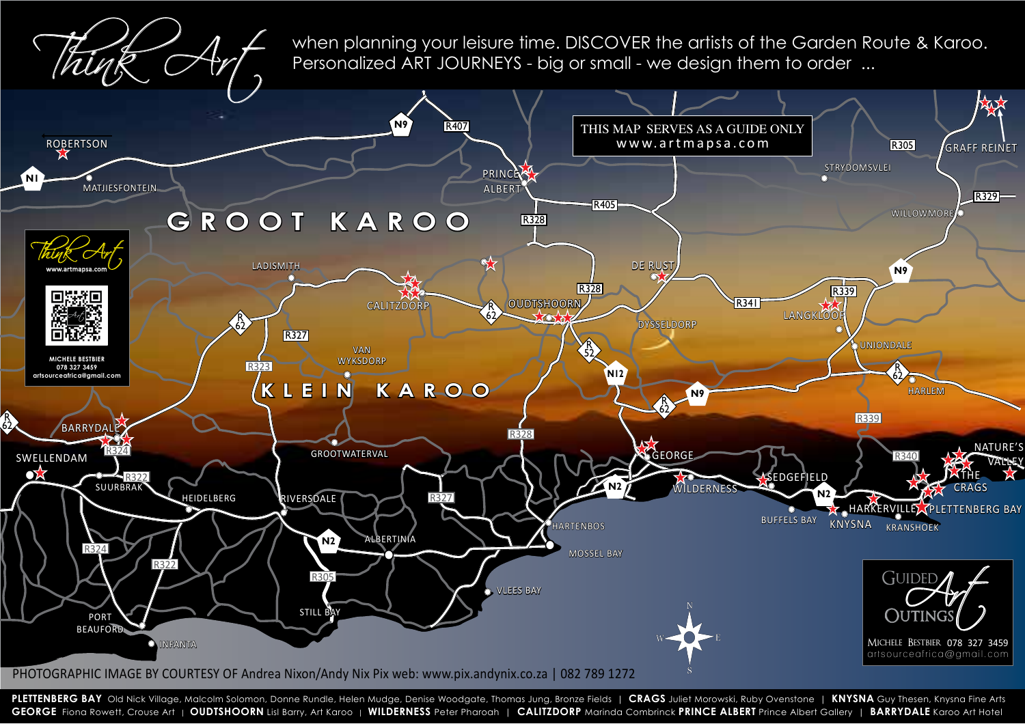**PLETTENBERG BAY** Old Nick Village, Malcolm Solomon, Donne Rundle, Helen Mudge, Denise Woodgate, Thomas Jung, Bronze Fields | **CRAGS** Juliet Morowski, Ruby Ovenstone | **KNYSNA** Guy Thesen, Knysna Fine Arts GEORGE Fiona Rowett, Crouse Art | OUDTSHOORN Lisl Barry, Art Karoo | WILDERNESS Peter Pharoah | CALITZDORP Marinda Combrinck PRINCE ALBERT Prince Albert Gallery | BARRYDALE Karoo Art Hotel